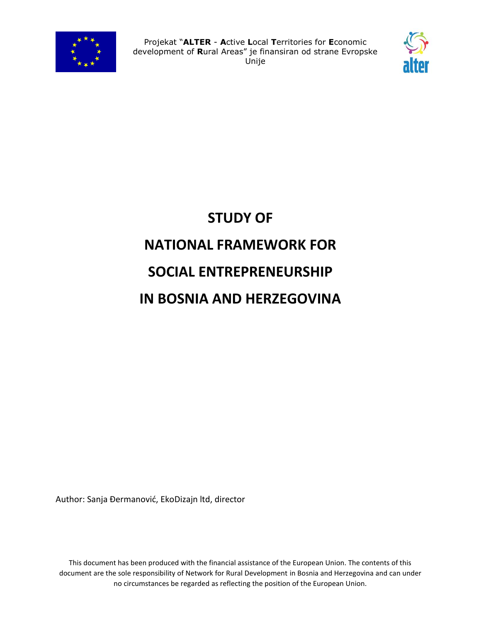



# **STUDY OF NATIONAL FRAMEWORK FOR SOCIAL ENTREPRENEURSHIP IN BOSNIA AND HERZEGOVINA**

Author: Sanja Đermanović, EkoDizajn ltd, director

This document has been produced with the financial assistance of the European Union. The contents of this document are the sole responsibility of Network for Rural Development in Bosnia and Herzegovina and can under no circumstances be regarded as reflecting the position of the European Union.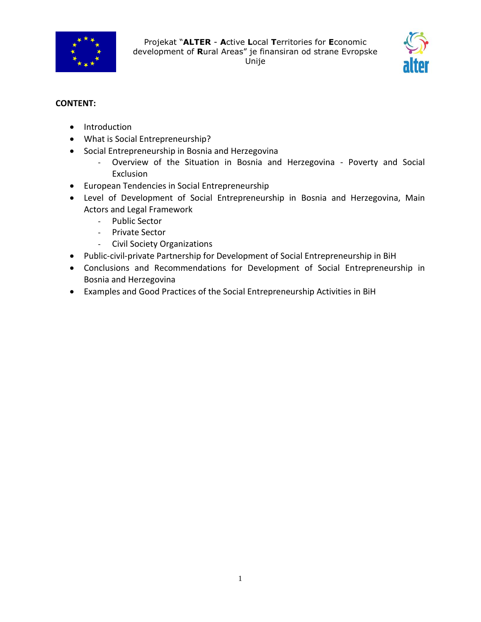



# **CONTENT:**

- Introduction
- What is Social Entrepreneurship?
- Social Entrepreneurship in Bosnia and Herzegovina
	- Overview of the Situation in Bosnia and Herzegovina Poverty and Social Exclusion
- European Tendencies in Social Entrepreneurship
- Level of Development of Social Entrepreneurship in Bosnia and Herzegovina, Main Actors and Legal Framework
	- Public Sector
	- Private Sector
	- Civil Society Organizations
- Public-civil-private Partnership for Development of Social Entrepreneurship in BiH
- Conclusions and Recommendations for Development of Social Entrepreneurship in Bosnia and Herzegovina
- Examples and Good Practices of the Social Entrepreneurship Activities in BiH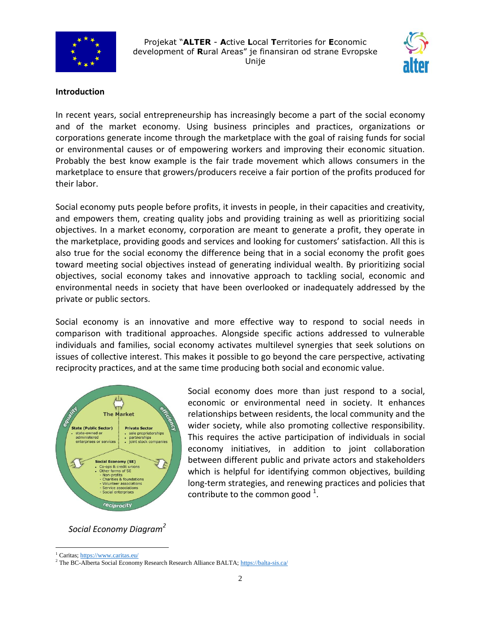



#### **Introduction**

In recent years, [social entrepreneurship](http://www.socialeconomynetwork.org/social-entrepreneurship/) has increasingly become a part of the social economy and of the market economy. Using business principles and practices, organizations or corporations generate income through the marketplace with the goal of raising funds for social or environmental causes or of empowering workers and improving their economic situation. Probably the best know example is the fair trade movement which allows consumers in the marketplace to ensure that growers/producers receive a fair portion of the profits produced for their labor.

Social economy puts people before profits, it invests in people, in their capacities and creativity, and empowers them, creating quality jobs and providing training as well as prioritizing social objectives. In a market economy, corporation are meant to generate a profit, they operate in the marketplace, providing goods and services and looking for customers' satisfaction. All this is also true for the social economy the difference being that in a social economy the profit goes toward meeting social objectives instead of generating individual wealth. By prioritizing social objectives, social economy takes and innovative approach to tackling social, economic and environmental needs in society that have been overlooked or inadequately addressed by the private or public sectors.

Social economy is an innovative and more effective way to respond to social needs in comparison with traditional approaches. Alongside specific actions addressed to vulnerable individuals and families, social economy activates multilevel synergies that seek solutions on issues of collective interest. This makes it possible to go beyond the care perspective, activating reciprocity practices, and at the same time producing both social and economic value.



Social economy does more than just respond to a social, economic or environmental need in society. It enhances relationships between residents, the local community and the wider society, while also promoting collective responsibility. This requires the active participation of individuals in social economy initiatives, in addition to joint collaboration between different public and private actors and stakeholders which is helpful for identifying common objectives, building long-term strategies, and renewing practices and policies that contribute to the common good  $1$ .

 *Social Economy Diagram<sup>2</sup>*

 $\overline{a}$ 

<sup>1</sup> Caritas[; https://www.caritas.eu/](https://www.caritas.eu/)

<sup>2</sup> The BC-Alberta Social Economy Research Research Alliance BALTA[; https://balta-sis.ca/](https://balta-sis.ca/)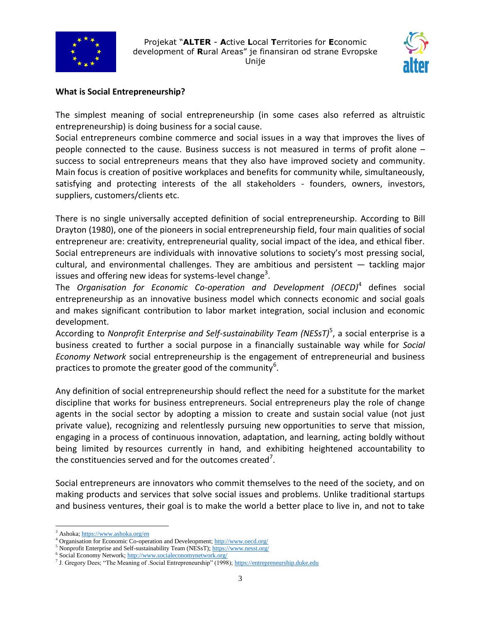



#### **What is Social Entrepreneurship?**

The simplest meaning of social entrepreneurship (in some cases also referred as altruistic entrepreneurship) is doing business for a social cause.

Social entrepreneurs combine commerce and social issues in a way that improves the lives of people connected to the cause. Business success is not measured in terms of profit alone – success to social entrepreneurs means that they also have improved society and community. Main focus is creation of positive workplaces and benefits for community while, simultaneously, satisfying and protecting interests of the all stakeholders - founders, owners, investors, suppliers, customers/clients etc.

There is no single universally accepted definition of social entrepreneurship. According to Bill Drayton (1980), one of the pioneers in social entrepreneurship field, four main qualities of social entrepreneur are: creativity, entrepreneurial quality, social impact of the idea, and ethical fiber. Social entrepreneurs are individuals with innovative solutions to society's most pressing social, cultural, and environmental challenges. They are ambitious and persistent — tackling major issues and offering new ideas for systems-level change<sup>3</sup>.

The *Organisation for Economic Co-operation and Development (OECD)*<sup>4</sup> defines social entrepreneurship as an innovative business model which connects economic and social goals and makes significant contribution to labor market integration, social inclusion and economic development.

According to Nonprofit Enterprise and Self-sustainability Team (NESsT)<sup>5</sup>, a social enterprise is a business created to further a social purpose in a financially sustainable way while for *Social Economy Network* social entrepreneurship is the engagement of entrepreneurial and business practices to promote the greater good of the community<sup>6</sup>.

Any definition of social entrepreneurship should reflect the need for a substitute for the market discipline that works for business entrepreneurs. Social entrepreneurs play the role of change agents in the social sector by adopting a mission to create and sustain social value (not just private value), recognizing and relentlessly pursuing new opportunities to serve that mission, engaging in a process of continuous innovation, adaptation, and learning, acting boldly without being limited by resources currently in hand, and exhibiting heightened accountability to the constituencies served and for the outcomes created<sup>7</sup>.

Social entrepreneurs are innovators who commit themselves to the need of the society, and on making products and services that solve social issues and problems. Unlike traditional startups and business ventures, their goal is to make the world a better place to live in, and not to take

 $\overline{a}$ <sup>3</sup> Ashoka[; https://www.ashoka.org/en](https://www.ashoka.org/en)

<sup>&</sup>lt;sup>4</sup> Organisation for Economic Co-operation and Develeopment[; http://www.oecd.org/](http://www.oecd.org/)

<sup>&</sup>lt;sup>5</sup> Nonprofit Enterprise and Self-sustainability Team (NESsT);  $\frac{https://www.nesst.org/}{https://www.nesst.org/})$ 

Social Economy Network[; http://www.socialeconomynetwork.org/](http://www.socialeconomynetwork.org/)

<sup>&</sup>lt;sup>7</sup> J. Gregory Dees; "The Meaning of .Social Entrepreneurship" (1998)[; https://entrepreneurship.duke.edu](https://entrepreneurship.duke.edu/)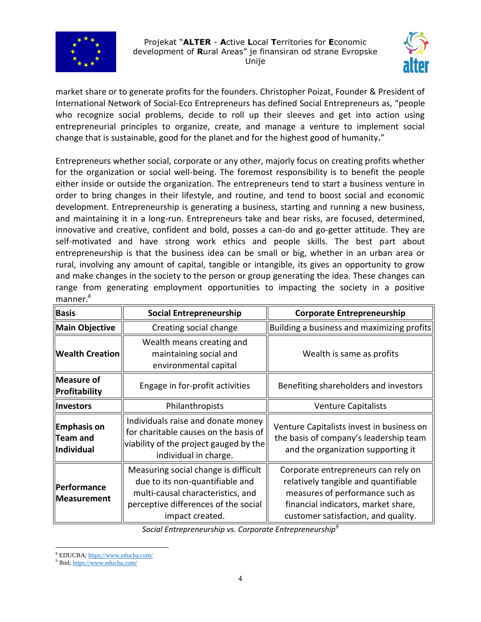



market share or to generate profits for the founders. Christopher Poizat, Founder & President of International Network of Social-Eco Entrepreneurs has defined Social Entrepreneurs as, "people who recognize social problems, decide to roll up their sleeves and get into action using entrepreneurial principles to organize, create, and manage a venture to implement social change that is sustainable, good for the planet and for the highest good of humanity**.**"

Entrepreneurs whether social, corporate or any other, majorly focus on creating profits whether for the organization or social well-being. The foremost responsibility is to benefit the people either inside or outside the organization. The entrepreneurs tend to start a business venture in order to bring changes in their lifestyle, and routine, and tend to boost social and economic development. Entrepreneurship is generating a business, starting and running a new business, and maintaining it in a long-run. Entrepreneurs take and bear risks, are focused, determined, innovative and creative, confident and bold, posses a can-do and go-getter attitude. They are self-motivated and have strong work ethics and people skills. The best part about entrepreneurship is that the business idea can be small or big, whether in an urban area or rural, involving any amount of capital, tangible or intangible, its gives an opportunity to grow and make changes in the society to the person or group generating the idea. These changes can range from generating employment opportunities to impacting the society in a positive manner.*<sup>8</sup>*

| Basis                                          | <b>Social Entrepreneurship</b>                                                                                                                                          | <b>Corporate Entrepreneurship</b>                                                                                                                                                            |
|------------------------------------------------|-------------------------------------------------------------------------------------------------------------------------------------------------------------------------|----------------------------------------------------------------------------------------------------------------------------------------------------------------------------------------------|
| Main Objective                                 | Creating social change                                                                                                                                                  | Building a business and maximizing profits                                                                                                                                                   |
| <b>Wealth Creation</b>                         | Wealth means creating and<br>maintaining social and<br>environmental capital                                                                                            | Wealth is same as profits                                                                                                                                                                    |
| Measure of<br>Profitability                    | Engage in for-profit activities                                                                                                                                         | Benefiting shareholders and investors                                                                                                                                                        |
| <b>Investors</b>                               | Philanthropists                                                                                                                                                         | <b>Venture Capitalists</b>                                                                                                                                                                   |
| <b>Emphasis on</b><br>Team and<br>  Individual | Individuals raise and donate money<br>for charitable causes on the basis of<br>viability of the project gauged by the<br>individual in charge.                          | Venture Capitalists invest in business on<br>the basis of company's leadership team<br>and the organization supporting it                                                                    |
| Performance<br><b>Measurement</b>              | Measuring social change is difficult<br>due to its non-quantifiable and<br>multi-causal characteristics, and<br>perceptive differences of the social<br>impact created. | Corporate entrepreneurs can rely on<br>relatively tangible and quantifiable<br>measures of performance such as<br>financial indicators, market share,<br>customer satisfaction, and quality. |

*Social Entrepreneurship vs. Corporate Entrepreneurship<sup>9</sup>*

 $\overline{a}$ 

<sup>8</sup> EDUCBA[; https://www.educba.com/](https://www.educba.com/)

<sup>9</sup> Ibid[; https://www.educba.com/](https://www.educba.com/)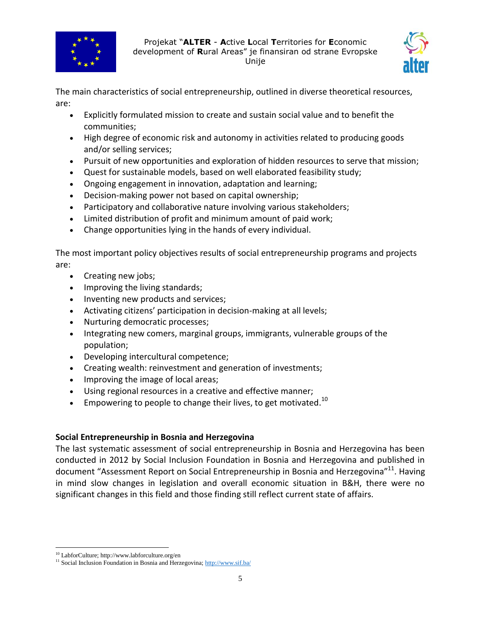



The main characteristics of social entrepreneurship, outlined in diverse theoretical resources, are:

- Explicitly formulated mission to create and sustain social value and to benefit the communities;
- High degree of economic risk and autonomy in activities related to producing goods and/or selling services;
- Pursuit of new opportunities and exploration of hidden resources to serve that mission;
- Quest for sustainable models, based on well elaborated feasibility study;
- Ongoing engagement in innovation, adaptation and learning;
- Decision-making power not based on capital ownership;
- Participatory and collaborative nature involving various stakeholders;
- Limited distribution of profit and minimum amount of paid work;
- Change opportunities lying in the hands of every individual.

The most important policy objectives results of social entrepreneurship programs and projects are:

- Creating new jobs;
- Improving the living standards;
- Inventing new products and services;
- Activating citizens' participation in decision-making at all levels;
- Nurturing democratic processes;
- Integrating new comers, marginal groups, immigrants, vulnerable groups of the population;
- Developing intercultural competence;
- Creating wealth: reinvestment and generation of investments;
- Improving the image of local areas;
- Using regional resources in a creative and effective manner;
- **Empowering to people to change their lives, to get motivated.**<sup>10</sup>

# **Social Entrepreneurship in Bosnia and Herzegovina**

The last systematic assessment of social entrepreneurship in Bosnia and Herzegovina has been conducted in 2012 by Social Inclusion Foundation in Bosnia and Herzegovina and published in document "Assessment Report on Social Entrepreneurship in Bosnia and Herzegovina"<sup>11</sup>. Having in mind slow changes in legislation and overall economic situation in B&H, there were no significant changes in this field and those finding still reflect current state of affairs.

 $\overline{a}$ <sup>10</sup> LabforCulture; http://www.labforculture.org/en

<sup>&</sup>lt;sup>11</sup> Social Inclusion Foundation in Bosnia and Herzegovina[; http://www.sif.ba/](http://www.sif.ba/)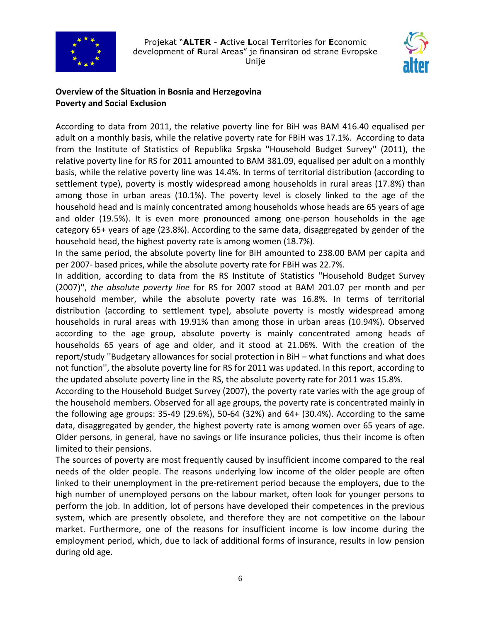



# **Overview of the Situation in Bosnia and Herzegovina Poverty and Social Exclusion**

According to data from 2011, the relative poverty line for BiH was BAM 416.40 equalised per adult on a monthly basis, while the relative poverty rate for FBiH was 17.1%. According to data from the Institute of Statistics of Republika Srpska ''Household Budget Survey'' (2011), the relative poverty line for RS for 2011 amounted to BAM 381.09, equalised per adult on a monthly basis, while the relative poverty line was 14.4%. In terms of territorial distribution (according to settlement type), poverty is mostly widespread among households in rural areas (17.8%) than among those in urban areas (10.1%). The poverty level is closely linked to the age of the household head and is mainly concentrated among households whose heads are 65 years of age and older (19.5%). It is even more pronounced among one-person households in the age category 65+ years of age (23.8%). According to the same data, disaggregated by gender of the household head, the highest poverty rate is among women (18.7%).

In the same period, the absolute poverty line for BiH amounted to 238.00 BAM per capita and per 2007- based prices, while the absolute poverty rate for FBiH was 22.7%.

In addition, according to data from the RS Institute of Statistics ''Household Budget Survey (2007)'', *the absolute poverty line* for RS for 2007 stood at BAM 201.07 per month and per household member, while the absolute poverty rate was 16.8%. In terms of territorial distribution (according to settlement type), absolute poverty is mostly widespread among households in rural areas with 19.91% than among those in urban areas (10.94%). Observed according to the age group, absolute poverty is mainly concentrated among heads of households 65 years of age and older, and it stood at 21.06%. With the creation of the report/study ''Budgetary allowances for social protection in BiH – what functions and what does not function'', the absolute poverty line for RS for 2011 was updated. In this report, according to the updated absolute poverty line in the RS, the absolute poverty rate for 2011 was 15.8%.

According to the Household Budget Survey (2007), the poverty rate varies with the age group of the household members. Observed for all age groups, the poverty rate is concentrated mainly in the following age groups: 35-49 (29.6%), 50-64 (32%) and 64+ (30.4%). According to the same data, disaggregated by gender, the highest poverty rate is among women over 65 years of age. Older persons, in general, have no savings or life insurance policies, thus their income is often limited to their pensions.

The sources of poverty are most frequently caused by insufficient income compared to the real needs of the older people. The reasons underlying low income of the older people are often linked to their unemployment in the pre-retirement period because the employers, due to the high number of unemployed persons on the labour market, often look for younger persons to perform the job. In addition, lot of persons have developed their competences in the previous system, which are presently obsolete, and therefore they are not competitive on the labour market. Furthermore, one of the reasons for insufficient income is low income during the employment period, which, due to lack of additional forms of insurance, results in low pension during old age.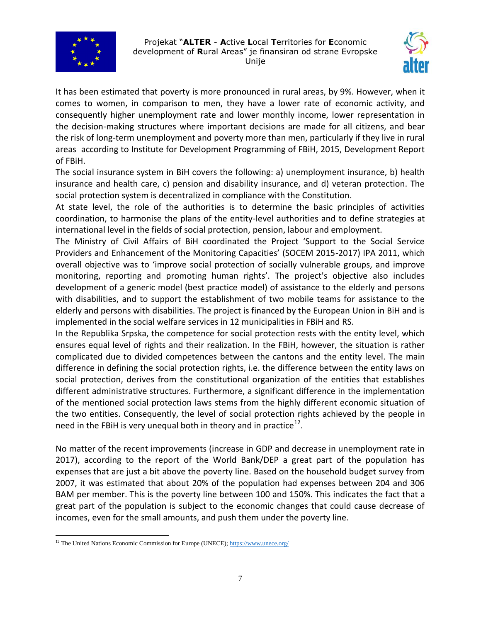



It has been estimated that poverty is more pronounced in rural areas, by 9%. However, when it comes to women, in comparison to men, they have a lower rate of economic activity, and consequently higher unemployment rate and lower monthly income, lower representation in the decision-making structures where important decisions are made for all citizens, and bear the risk of long-term unemployment and poverty more than men, particularly if they live in rural areas according to Institute for Development Programming of FBiH, 2015, Development Report of FBiH.

The social insurance system in BiH covers the following: a) unemployment insurance, b) health insurance and health care, c) pension and disability insurance, and d) veteran protection. The social protection system is decentralized in compliance with the Constitution.

At state level, the role of the authorities is to determine the basic principles of activities coordination, to harmonise the plans of the entity-level authorities and to define strategies at international level in the fields of social protection, pension, labour and employment.

The Ministry of Civil Affairs of BiH coordinated the Project 'Support to the Social Service Providers and Enhancement of the Monitoring Capacities' (SOCEM 2015-2017) IPA 2011, which overall objective was to 'improve social protection of socially vulnerable groups, and improve monitoring, reporting and promoting human rights'. The project's objective also includes development of a generic model (best practice model) of assistance to the elderly and persons with disabilities, and to support the establishment of two mobile teams for assistance to the elderly and persons with disabilities. The project is financed by the European Union in BiH and is implemented in the social welfare services in 12 municipalities in FBiH and RS.

In the Republika Srpska, the competence for social protection rests with the entity level, which ensures equal level of rights and their realization. In the FBiH, however, the situation is rather complicated due to divided competences between the cantons and the entity level. The main difference in defining the social protection rights, i.e. the difference between the entity laws on social protection, derives from the constitutional organization of the entities that establishes different administrative structures. Furthermore, a significant difference in the implementation of the mentioned social protection laws stems from the highly different economic situation of the two entities. Consequently, the level of social protection rights achieved by the people in need in the FBiH is very unequal both in theory and in practice $^{12}$ .

No matter of the recent improvements (increase in GDP and decrease in unemployment rate in 2017), according to the report of the World Bank/DEP a great part of the population has expenses that are just a bit above the poverty line. Based on the household budget survey from 2007, it was estimated that about 20% of the population had expenses between 204 and 306 BAM per member. This is the poverty line between 100 and 150%. This indicates the fact that a great part of the population is subject to the economic changes that could cause decrease of incomes, even for the small amounts, and push them under the poverty line.

 $\overline{a}$ <sup>12</sup> The United Nations Economic Commission for Europe (UNECE)[; https://www.unece.org/](https://www.unece.org/)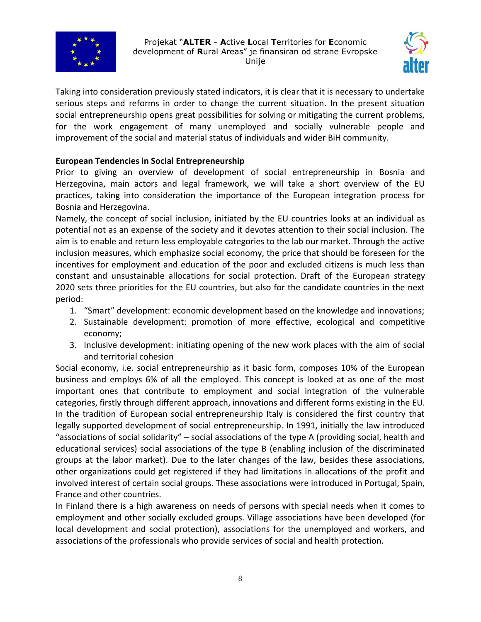



Taking into consideration previously stated indicators, it is clear that it is necessary to undertake serious steps and reforms in order to change the current situation. In the present situation social entrepreneurship opens great possibilities for solving or mitigating the current problems, for the work engagement of many unemployed and socially vulnerable people and improvement of the social and material status of individuals and wider BiH community.

## **European Tendencies in Social Entrepreneurship**

Prior to giving an overview of development of social entrepreneurship in Bosnia and Herzegovina, main actors and legal framework, we will take a short overview of the EU practices, taking into consideration the importance of the European integration process for Bosnia and Herzegovina.

Namely, the concept of social inclusion, initiated by the EU countries looks at an individual as potential not as an expense of the society and it devotes attention to their social inclusion. The aim is to enable and return less employable categories to the lab our market. Through the active inclusion measures, which emphasize social economy, the price that should be foreseen for the incentives for employment and education of the poor and excluded citizens is much less than constant and unsustainable allocations for social protection. Draft of the European strategy 2020 sets three priorities for the EU countries, but also for the candidate countries in the next period:

- 1. "Smart" development: economic development based on the knowledge and innovations;
- 2. Sustainable development: promotion of more effective, ecological and competitive economy;
- 3. Inclusive development: initiating opening of the new work places with the aim of social and territorial cohesion

Social economy, i.e. social entrepreneurship as it basic form, composes 10% of the European business and employs 6% of all the employed. This concept is looked at as one of the most important ones that contribute to employment and social integration of the vulnerable categories, firstly through different approach, innovations and different forms existing in the EU. In the tradition of European social entrepreneurship Italy is considered the first country that legally supported development of social entrepreneurship. In 1991, initially the law introduced "associations of social solidarity" – social associations of the type A (providing social, health and educational services) social associations of the type B (enabling inclusion of the discriminated groups at the labor market). Due to the later changes of the law, besides these associations, other organizations could get registered if they had limitations in allocations of the profit and involved interest of certain social groups. These associations were introduced in Portugal, Spain, France and other countries.

In Finland there is a high awareness on needs of persons with special needs when it comes to employment and other socially excluded groups. Village associations have been developed (for local development and social protection), associations for the unemployed and workers, and associations of the professionals who provide services of social and health protection.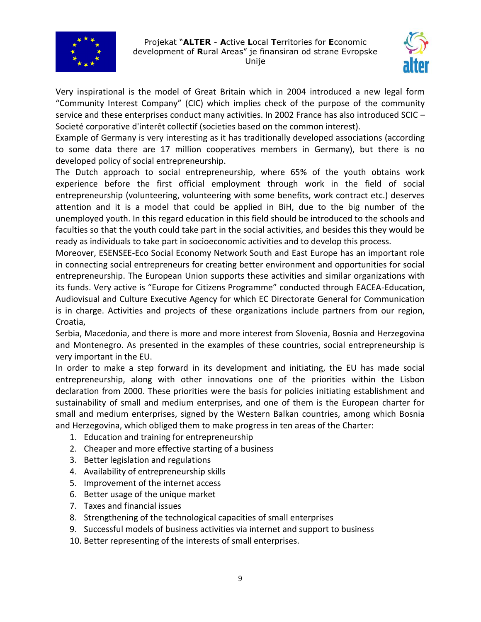



Very inspirational is the model of Great Britain which in 2004 introduced a new legal form "Community Interest Company" (CIC) which implies check of the purpose of the community service and these enterprises conduct many activities. In 2002 France has also introduced SCIC -Societé corporative d'interêt collectif (societies based on the common interest).

Example of Germany is very interesting as it has traditionally developed associations (according to some data there are 17 million cooperatives members in Germany), but there is no developed policy of social entrepreneurship.

The Dutch approach to social entrepreneurship, where 65% of the youth obtains work experience before the first official employment through work in the field of social entrepreneurship (volunteering, volunteering with some benefits, work contract etc.) deserves attention and it is a model that could be applied in BiH, due to the big number of the unemployed youth. In this regard education in this field should be introduced to the schools and faculties so that the youth could take part in the social activities, and besides this they would be ready as individuals to take part in socioeconomic activities and to develop this process.

Moreover, ESENSEE-Eco Social Economy Network South and East Europe has an important role in connecting social entrepreneurs for creating better environment and opportunities for social entrepreneurship. The European Union supports these activities and similar organizations with its funds. Very active is "Europe for Citizens Programme" conducted through EACEA-Education, Audiovisual and Culture Executive Agency for which EC Directorate General for Communication is in charge. Activities and projects of these organizations include partners from our region, Croatia,

Serbia, Macedonia, and there is more and more interest from Slovenia, Bosnia and Herzegovina and Montenegro. As presented in the examples of these countries, social entrepreneurship is very important in the EU.

In order to make a step forward in its development and initiating, the EU has made social entrepreneurship, along with other innovations one of the priorities within the Lisbon declaration from 2000. These priorities were the basis for policies initiating establishment and sustainability of small and medium enterprises, and one of them is the European charter for small and medium enterprises, signed by the Western Balkan countries, among which Bosnia and Herzegovina, which obliged them to make progress in ten areas of the Charter:

- 1. Education and training for entrepreneurship
- 2. Cheaper and more effective starting of a business
- 3. Better legislation and regulations
- 4. Availability of entrepreneurship skills
- 5. Improvement of the internet access
- 6. Better usage of the unique market
- 7. Taxes and financial issues
- 8. Strengthening of the technological capacities of small enterprises
- 9. Successful models of business activities via internet and support to business
- 10. Better representing of the interests of small enterprises.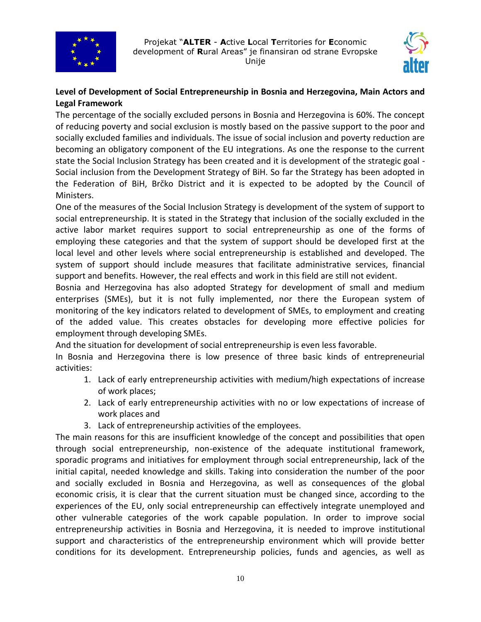



# **Level of Development of Social Entrepreneurship in Bosnia and Herzegovina, Main Actors and Legal Framework**

The percentage of the socially excluded persons in Bosnia and Herzegovina is 60%. The concept of reducing poverty and social exclusion is mostly based on the passive support to the poor and socially excluded families and individuals. The issue of social inclusion and poverty reduction are becoming an obligatory component of the EU integrations. As one the response to the current state the Social Inclusion Strategy has been created and it is development of the strategic goal - Social inclusion from the Development Strategy of BiH. So far the Strategy has been adopted in the Federation of BiH, Brčko District and it is expected to be adopted by the Council of Ministers.

One of the measures of the Social Inclusion Strategy is development of the system of support to social entrepreneurship. It is stated in the Strategy that inclusion of the socially excluded in the active labor market requires support to social entrepreneurship as one of the forms of employing these categories and that the system of support should be developed first at the local level and other levels where social entrepreneurship is established and developed. The system of support should include measures that facilitate administrative services, financial support and benefits. However, the real effects and work in this field are still not evident.

Bosnia and Herzegovina has also adopted Strategy for development of small and medium enterprises (SMEs), but it is not fully implemented, nor there the European system of monitoring of the key indicators related to development of SMEs, to employment and creating of the added value. This creates obstacles for developing more effective policies for employment through developing SMEs.

And the situation for development of social entrepreneurship is even less favorable.

In Bosnia and Herzegovina there is low presence of three basic kinds of entrepreneurial activities:

- 1. Lack of early entrepreneurship activities with medium/high expectations of increase of work places;
- 2. Lack of early entrepreneurship activities with no or low expectations of increase of work places and
- 3. Lack of entrepreneurship activities of the employees.

The main reasons for this are insufficient knowledge of the concept and possibilities that open through social entrepreneurship, non-existence of the adequate institutional framework, sporadic programs and initiatives for employment through social entrepreneurship, lack of the initial capital, needed knowledge and skills. Taking into consideration the number of the poor and socially excluded in Bosnia and Herzegovina, as well as consequences of the global economic crisis, it is clear that the current situation must be changed since, according to the experiences of the EU, only social entrepreneurship can effectively integrate unemployed and other vulnerable categories of the work capable population. In order to improve social entrepreneurship activities in Bosnia and Herzegovina, it is needed to improve institutional support and characteristics of the entrepreneurship environment which will provide better conditions for its development. Entrepreneurship policies, funds and agencies, as well as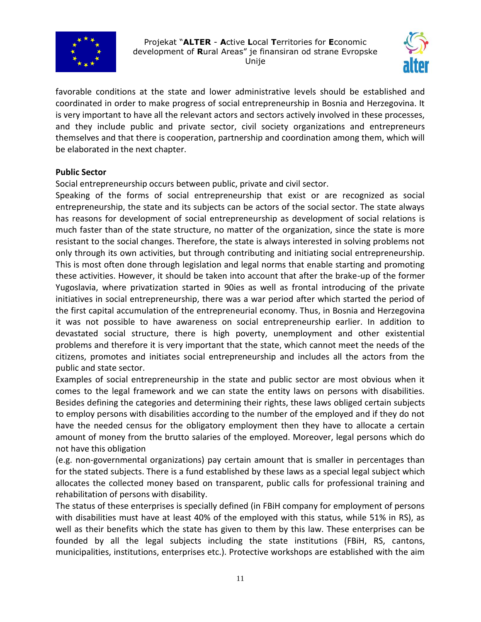



favorable conditions at the state and lower administrative levels should be established and coordinated in order to make progress of social entrepreneurship in Bosnia and Herzegovina. It is very important to have all the relevant actors and sectors actively involved in these processes, and they include public and private sector, civil society organizations and entrepreneurs themselves and that there is cooperation, partnership and coordination among them, which will be elaborated in the next chapter.

#### **Public Sector**

Social entrepreneurship occurs between public, private and civil sector.

Speaking of the forms of social entrepreneurship that exist or are recognized as social entrepreneurship, the state and its subjects can be actors of the social sector. The state always has reasons for development of social entrepreneurship as development of social relations is much faster than of the state structure, no matter of the organization, since the state is more resistant to the social changes. Therefore, the state is always interested in solving problems not only through its own activities, but through contributing and initiating social entrepreneurship. This is most often done through legislation and legal norms that enable starting and promoting these activities. However, it should be taken into account that after the brake-up of the former Yugoslavia, where privatization started in 90ies as well as frontal introducing of the private initiatives in social entrepreneurship, there was a war period after which started the period of the first capital accumulation of the entrepreneurial economy. Thus, in Bosnia and Herzegovina it was not possible to have awareness on social entrepreneurship earlier. In addition to devastated social structure, there is high poverty, unemployment and other existential problems and therefore it is very important that the state, which cannot meet the needs of the citizens, promotes and initiates social entrepreneurship and includes all the actors from the public and state sector.

Examples of social entrepreneurship in the state and public sector are most obvious when it comes to the legal framework and we can state the entity laws on persons with disabilities. Besides defining the categories and determining their rights, these laws obliged certain subjects to employ persons with disabilities according to the number of the employed and if they do not have the needed census for the obligatory employment then they have to allocate a certain amount of money from the brutto salaries of the employed. Moreover, legal persons which do not have this obligation

(e.g. non-governmental organizations) pay certain amount that is smaller in percentages than for the stated subjects. There is a fund established by these laws as a special legal subject which allocates the collected money based on transparent, public calls for professional training and rehabilitation of persons with disability.

The status of these enterprises is specially defined (in FBiH company for employment of persons with disabilities must have at least 40% of the employed with this status, while 51% in RS), as well as their benefits which the state has given to them by this law. These enterprises can be founded by all the legal subjects including the state institutions (FBiH, RS, cantons, municipalities, institutions, enterprises etc.). Protective workshops are established with the aim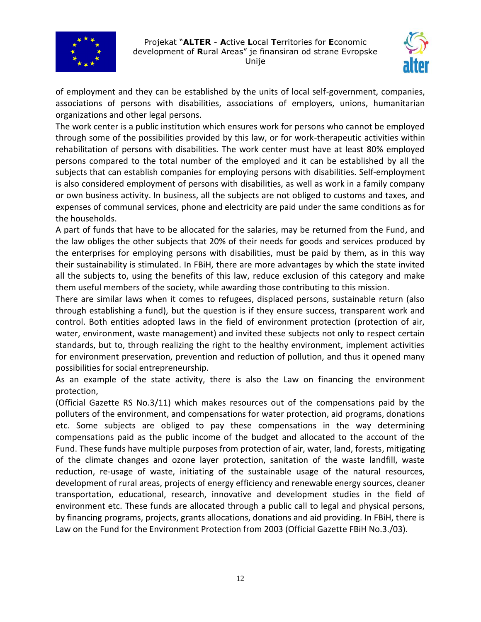



of employment and they can be established by the units of local self-government, companies, associations of persons with disabilities, associations of employers, unions, humanitarian organizations and other legal persons.

The work center is a public institution which ensures work for persons who cannot be employed through some of the possibilities provided by this law, or for work-therapeutic activities within rehabilitation of persons with disabilities. The work center must have at least 80% employed persons compared to the total number of the employed and it can be established by all the subjects that can establish companies for employing persons with disabilities. Self-employment is also considered employment of persons with disabilities, as well as work in a family company or own business activity. In business, all the subjects are not obliged to customs and taxes, and expenses of communal services, phone and electricity are paid under the same conditions as for the households.

A part of funds that have to be allocated for the salaries, may be returned from the Fund, and the law obliges the other subjects that 20% of their needs for goods and services produced by the enterprises for employing persons with disabilities, must be paid by them, as in this way their sustainability is stimulated. In FBiH, there are more advantages by which the state invited all the subjects to, using the benefits of this law, reduce exclusion of this category and make them useful members of the society, while awarding those contributing to this mission.

There are similar laws when it comes to refugees, displaced persons, sustainable return (also through establishing a fund), but the question is if they ensure success, transparent work and control. Both entities adopted laws in the field of environment protection (protection of air, water, environment, waste management) and invited these subjects not only to respect certain standards, but to, through realizing the right to the healthy environment, implement activities for environment preservation, prevention and reduction of pollution, and thus it opened many possibilities for social entrepreneurship.

As an example of the state activity, there is also the Law on financing the environment protection,

(Official Gazette RS No.3/11) which makes resources out of the compensations paid by the polluters of the environment, and compensations for water protection, aid programs, donations etc. Some subjects are obliged to pay these compensations in the way determining compensations paid as the public income of the budget and allocated to the account of the Fund. These funds have multiple purposes from protection of air, water, land, forests, mitigating of the climate changes and ozone layer protection, sanitation of the waste landfill, waste reduction, re-usage of waste, initiating of the sustainable usage of the natural resources, development of rural areas, projects of energy efficiency and renewable energy sources, cleaner transportation, educational, research, innovative and development studies in the field of environment etc. These funds are allocated through a public call to legal and physical persons, by financing programs, projects, grants allocations, donations and aid providing. In FBiH, there is Law on the Fund for the Environment Protection from 2003 (Official Gazette FBiH No.3./03).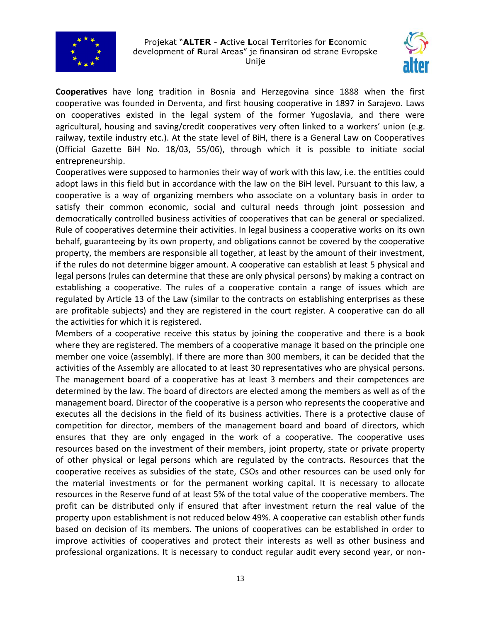



**Cooperatives** have long tradition in Bosnia and Herzegovina since 1888 when the first cooperative was founded in Derventa, and first housing cooperative in 1897 in Sarajevo. Laws on cooperatives existed in the legal system of the former Yugoslavia, and there were agricultural, housing and saving/credit cooperatives very often linked to a workers' union (e.g. railway, textile industry etc.). At the state level of BiH, there is a General Law on Cooperatives (Official Gazette BiH No. 18/03, 55/06), through which it is possible to initiate social entrepreneurship.

Cooperatives were supposed to harmonies their way of work with this law, i.e. the entities could adopt laws in this field but in accordance with the law on the BiH level. Pursuant to this law, a cooperative is a way of organizing members who associate on a voluntary basis in order to satisfy their common economic, social and cultural needs through joint possession and democratically controlled business activities of cooperatives that can be general or specialized. Rule of cooperatives determine their activities. In legal business a cooperative works on its own behalf, guaranteeing by its own property, and obligations cannot be covered by the cooperative property, the members are responsible all together, at least by the amount of their investment, if the rules do not determine bigger amount. A cooperative can establish at least 5 physical and legal persons (rules can determine that these are only physical persons) by making a contract on establishing a cooperative. The rules of a cooperative contain a range of issues which are regulated by Article 13 of the Law (similar to the contracts on establishing enterprises as these are profitable subjects) and they are registered in the court register. A cooperative can do all the activities for which it is registered.

Members of a cooperative receive this status by joining the cooperative and there is a book where they are registered. The members of a cooperative manage it based on the principle one member one voice (assembly). If there are more than 300 members, it can be decided that the activities of the Assembly are allocated to at least 30 representatives who are physical persons. The management board of a cooperative has at least 3 members and their competences are determined by the law. The board of directors are elected among the members as well as of the management board. Director of the cooperative is a person who represents the cooperative and executes all the decisions in the field of its business activities. There is a protective clause of competition for director, members of the management board and board of directors, which ensures that they are only engaged in the work of a cooperative. The cooperative uses resources based on the investment of their members, joint property, state or private property of other physical or legal persons which are regulated by the contracts. Resources that the cooperative receives as subsidies of the state, CSOs and other resources can be used only for the material investments or for the permanent working capital. It is necessary to allocate resources in the Reserve fund of at least 5% of the total value of the cooperative members. The profit can be distributed only if ensured that after investment return the real value of the property upon establishment is not reduced below 49%. A cooperative can establish other funds based on decision of its members. The unions of cooperatives can be established in order to improve activities of cooperatives and protect their interests as well as other business and professional organizations. It is necessary to conduct regular audit every second year, or non-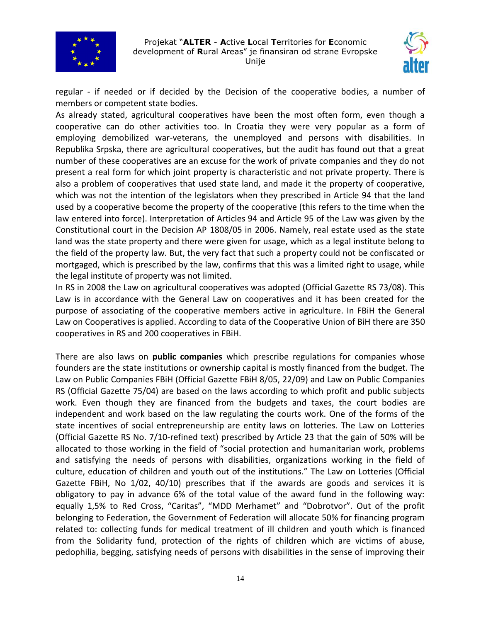



regular - if needed or if decided by the Decision of the cooperative bodies, a number of members or competent state bodies.

As already stated, agricultural cooperatives have been the most often form, even though a cooperative can do other activities too. In Croatia they were very popular as a form of employing demobilized war-veterans, the unemployed and persons with disabilities. In Republika Srpska, there are agricultural cooperatives, but the audit has found out that a great number of these cooperatives are an excuse for the work of private companies and they do not present a real form for which joint property is characteristic and not private property. There is also a problem of cooperatives that used state land, and made it the property of cooperative, which was not the intention of the legislators when they prescribed in Article 94 that the land used by a cooperative become the property of the cooperative (this refers to the time when the law entered into force). Interpretation of Articles 94 and Article 95 of the Law was given by the Constitutional court in the Decision AP 1808/05 in 2006. Namely, real estate used as the state land was the state property and there were given for usage, which as a legal institute belong to the field of the property law. But, the very fact that such a property could not be confiscated or mortgaged, which is prescribed by the law, confirms that this was a limited right to usage, while the legal institute of property was not limited.

In RS in 2008 the Law on agricultural cooperatives was adopted (Official Gazette RS 73/08). This Law is in accordance with the General Law on cooperatives and it has been created for the purpose of associating of the cooperative members active in agriculture. In FBiH the General Law on Cooperatives is applied. According to data of the Cooperative Union of BiH there are 350 cooperatives in RS and 200 cooperatives in FBiH.

There are also laws on **public companies** which prescribe regulations for companies whose founders are the state institutions or ownership capital is mostly financed from the budget. The Law on Public Companies FBiH (Official Gazette FBiH 8/05, 22/09) and Law on Public Companies RS (Official Gazette 75/04) are based on the laws according to which profit and public subjects work. Even though they are financed from the budgets and taxes, the court bodies are independent and work based on the law regulating the courts work. One of the forms of the state incentives of social entrepreneurship are entity laws on lotteries. The Law on Lotteries (Official Gazette RS No. 7/10-refined text) prescribed by Article 23 that the gain of 50% will be allocated to those working in the field of "social protection and humanitarian work, problems and satisfying the needs of persons with disabilities, organizations working in the field of culture, education of children and youth out of the institutions." The Law on Lotteries (Official Gazette FBiH, No 1/02, 40/10) prescribes that if the awards are goods and services it is obligatory to pay in advance 6% of the total value of the award fund in the following way: equally 1,5% to Red Cross, "Caritas", "MDD Merhamet" and "Dobrotvor". Out of the profit belonging to Federation, the Government of Federation will allocate 50% for financing program related to: collecting funds for medical treatment of ill children and youth which is financed from the Solidarity fund, protection of the rights of children which are victims of abuse, pedophilia, begging, satisfying needs of persons with disabilities in the sense of improving their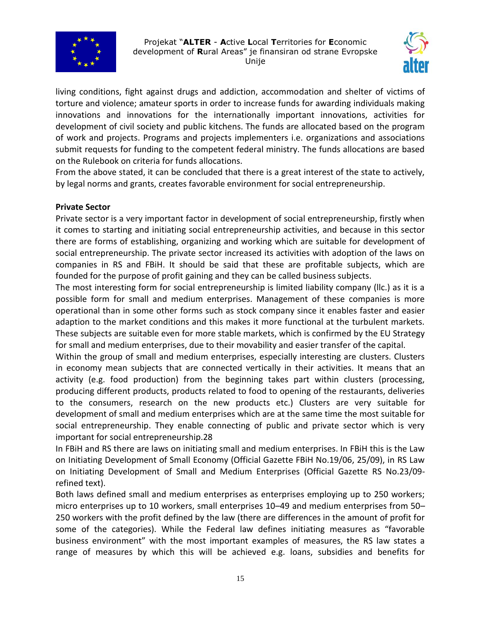



living conditions, fight against drugs and addiction, accommodation and shelter of victims of torture and violence; amateur sports in order to increase funds for awarding individuals making innovations and innovations for the internationally important innovations, activities for development of civil society and public kitchens. The funds are allocated based on the program of work and projects. Programs and projects implementers i.e. organizations and associations submit requests for funding to the competent federal ministry. The funds allocations are based on the Rulebook on criteria for funds allocations.

From the above stated, it can be concluded that there is a great interest of the state to actively, by legal norms and grants, creates favorable environment for social entrepreneurship.

## **Private Sector**

Private sector is a very important factor in development of social entrepreneurship, firstly when it comes to starting and initiating social entrepreneurship activities, and because in this sector there are forms of establishing, organizing and working which are suitable for development of social entrepreneurship. The private sector increased its activities with adoption of the laws on companies in RS and FBiH. It should be said that these are profitable subjects, which are founded for the purpose of profit gaining and they can be called business subjects.

The most interesting form for social entrepreneurship is limited liability company (llc.) as it is a possible form for small and medium enterprises. Management of these companies is more operational than in some other forms such as stock company since it enables faster and easier adaption to the market conditions and this makes it more functional at the turbulent markets. These subjects are suitable even for more stable markets, which is confirmed by the EU Strategy for small and medium enterprises, due to their movability and easier transfer of the capital.

Within the group of small and medium enterprises, especially interesting are clusters. Clusters in economy mean subjects that are connected vertically in their activities. It means that an activity (e.g. food production) from the beginning takes part within clusters (processing, producing different products, products related to food to opening of the restaurants, deliveries to the consumers, research on the new products etc.) Clusters are very suitable for development of small and medium enterprises which are at the same time the most suitable for social entrepreneurship. They enable connecting of public and private sector which is very important for social entrepreneurship.28

In FBiH and RS there are laws on initiating small and medium enterprises. In FBiH this is the Law on Initiating Development of Small Economy (Official Gazette FBiH No.19/06, 25/09), in RS Law on Initiating Development of Small and Medium Enterprises (Official Gazette RS No.23/09 refined text).

Both laws defined small and medium enterprises as enterprises employing up to 250 workers; micro enterprises up to 10 workers, small enterprises 10–49 and medium enterprises from 50– 250 workers with the profit defined by the law (there are differences in the amount of profit for some of the categories). While the Federal law defines initiating measures as "favorable business environment" with the most important examples of measures, the RS law states a range of measures by which this will be achieved e.g. loans, subsidies and benefits for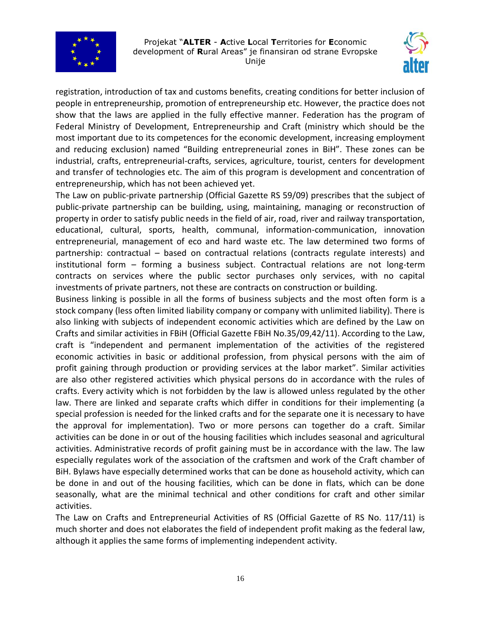



registration, introduction of tax and customs benefits, creating conditions for better inclusion of people in entrepreneurship, promotion of entrepreneurship etc. However, the practice does not show that the laws are applied in the fully effective manner. Federation has the program of Federal Ministry of Development, Entrepreneurship and Craft (ministry which should be the most important due to its competences for the economic development, increasing employment and reducing exclusion) named "Building entrepreneurial zones in BiH". These zones can be industrial, crafts, entrepreneurial-crafts, services, agriculture, tourist, centers for development and transfer of technologies etc. The aim of this program is development and concentration of entrepreneurship, which has not been achieved yet.

The Law on public-private partnership (Official Gazette RS 59/09) prescribes that the subject of public-private partnership can be building, using, maintaining, managing or reconstruction of property in order to satisfy public needs in the field of air, road, river and railway transportation, educational, cultural, sports, health, communal, information-communication, innovation entrepreneurial, management of eco and hard waste etc. The law determined two forms of partnership: contractual – based on contractual relations (contracts regulate interests) and institutional form – forming a business subject. Contractual relations are not long-term contracts on services where the public sector purchases only services, with no capital investments of private partners, not these are contracts on construction or building.

Business linking is possible in all the forms of business subjects and the most often form is a stock company (less often limited liability company or company with unlimited liability). There is also linking with subjects of independent economic activities which are defined by the Law on Crafts and similar activities in FBiH (Official Gazette FBiH No.35/09,42/11). According to the Law, craft is "independent and permanent implementation of the activities of the registered economic activities in basic or additional profession, from physical persons with the aim of profit gaining through production or providing services at the labor market". Similar activities are also other registered activities which physical persons do in accordance with the rules of crafts. Every activity which is not forbidden by the law is allowed unless regulated by the other law. There are linked and separate crafts which differ in conditions for their implementing (a special profession is needed for the linked crafts and for the separate one it is necessary to have the approval for implementation). Two or more persons can together do a craft. Similar activities can be done in or out of the housing facilities which includes seasonal and agricultural activities. Administrative records of profit gaining must be in accordance with the law. The law especially regulates work of the association of the craftsmen and work of the Craft chamber of BiH. Bylaws have especially determined works that can be done as household activity, which can be done in and out of the housing facilities, which can be done in flats, which can be done seasonally, what are the minimal technical and other conditions for craft and other similar activities.

The Law on Crafts and Entrepreneurial Activities of RS (Official Gazette of RS No. 117/11) is much shorter and does not elaborates the field of independent profit making as the federal law, although it applies the same forms of implementing independent activity.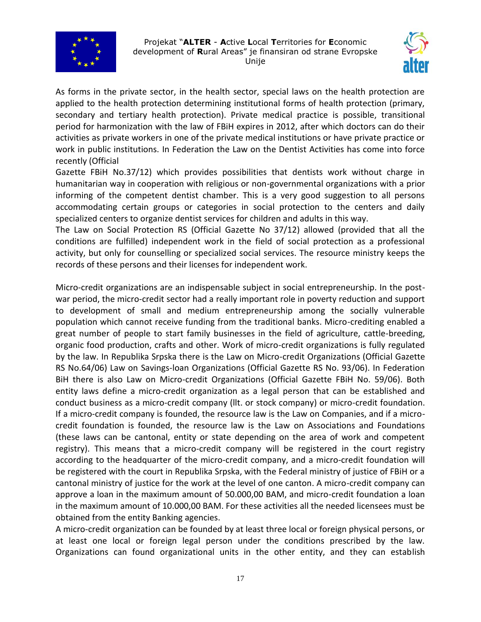



As forms in the private sector, in the health sector, special laws on the health protection are applied to the health protection determining institutional forms of health protection (primary, secondary and tertiary health protection). Private medical practice is possible, transitional period for harmonization with the law of FBiH expires in 2012, after which doctors can do their activities as private workers in one of the private medical institutions or have private practice or work in public institutions. In Federation the Law on the Dentist Activities has come into force recently (Official

Gazette FBiH No.37/12) which provides possibilities that dentists work without charge in humanitarian way in cooperation with religious or non-governmental organizations with a prior informing of the competent dentist chamber. This is a very good suggestion to all persons accommodating certain groups or categories in social protection to the centers and daily specialized centers to organize dentist services for children and adults in this way.

The Law on Social Protection RS (Official Gazette No 37/12) allowed (provided that all the conditions are fulfilled) independent work in the field of social protection as a professional activity, but only for counselling or specialized social services. The resource ministry keeps the records of these persons and their licenses for independent work.

Micro-credit organizations are an indispensable subject in social entrepreneurship. In the postwar period, the micro-credit sector had a really important role in poverty reduction and support to development of small and medium entrepreneurship among the socially vulnerable population which cannot receive funding from the traditional banks. Micro-crediting enabled a great number of people to start family businesses in the field of agriculture, cattle-breeding, organic food production, crafts and other. Work of micro-credit organizations is fully regulated by the law. In Republika Srpska there is the Law on Micro-credit Organizations (Official Gazette RS No.64/06) Law on Savings-loan Organizations (Official Gazette RS No. 93/06). In Federation BiH there is also Law on Micro-credit Organizations (Official Gazette FBiH No. 59/06). Both entity laws define a micro-credit organization as a legal person that can be established and conduct business as a micro-credit company (llt. or stock company) or micro-credit foundation. If a micro-credit company is founded, the resource law is the Law on Companies, and if a microcredit foundation is founded, the resource law is the Law on Associations and Foundations (these laws can be cantonal, entity or state depending on the area of work and competent registry). This means that a micro-credit company will be registered in the court registry according to the headquarter of the micro-credit company, and a micro-credit foundation will be registered with the court in Republika Srpska, with the Federal ministry of justice of FBiH or a cantonal ministry of justice for the work at the level of one canton. A micro-credit company can approve a loan in the maximum amount of 50.000,00 BAM, and micro-credit foundation a loan in the maximum amount of 10.000,00 BAM. For these activities all the needed licensees must be obtained from the entity Banking agencies.

A micro-credit organization can be founded by at least three local or foreign physical persons, or at least one local or foreign legal person under the conditions prescribed by the law. Organizations can found organizational units in the other entity, and they can establish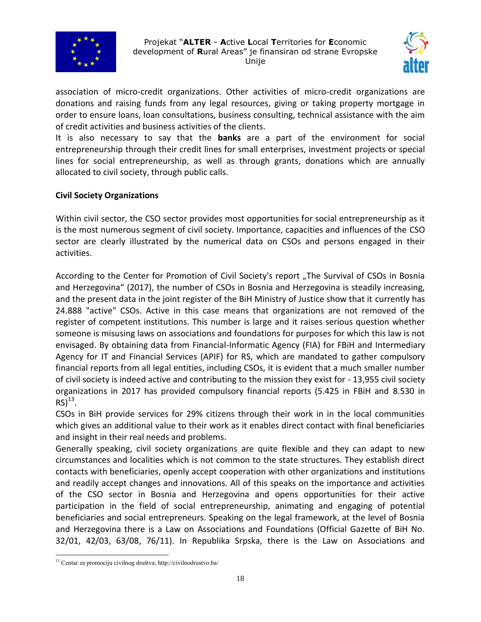



association of micro-credit organizations. Other activities of micro-credit organizations are donations and raising funds from any legal resources, giving or taking property mortgage in order to ensure loans, loan consultations, business consulting, technical assistance with the aim of credit activities and business activities of the clients.

It is also necessary to say that the **banks** are a part of the environment for social entrepreneurship through their credit lines for small enterprises, investment projects or special lines for social entrepreneurship, as well as through grants, donations which are annually allocated to civil society, through public calls.

# **Civil Society Organizations**

Within civil sector, the CSO sector provides most opportunities for social entrepreneurship as it is the most numerous segment of civil society. Importance, capacities and influences of the CSO sector are clearly illustrated by the numerical data on CSOs and persons engaged in their activities.

According to the Center for Promotion of Civil Society's report "The Survival of CSOs in Bosnia and Herzegovina" (2017), the number of CSOs in Bosnia and Herzegovina is steadily increasing, and the present data in the joint register of the BiH Ministry of Justice show that it currently has 24.888 "active" CSOs. Active in this case means that organizations are not removed of the register of competent institutions. This number is large and it raises serious question whether someone is misusing laws on associations and foundations for purposes for which this law is not envisaged. By obtaining data from Financial-Informatic Agency (FIA) for FBiH and Intermediary Agency for IT and Financial Services (APIF) for RS, which are mandated to gather compulsory financial reports from all legal entities, including CSOs, it is evident that a much smaller number of civil society is indeed active and contributing to the mission they exist for - 13,955 civil society organizations in 2017 has provided compulsory financial reports (5.425 in FBiH and 8.530 in  $RS)^{13}$ .

CSOs in BiH provide services for 29% citizens through their work in in the local communities which gives an additional value to their work as it enables direct contact with final beneficiaries and insight in their real needs and problems.

Generally speaking, civil society organizations are quite flexible and they can adapt to new circumstances and localities which is not common to the state structures. They establish direct contacts with beneficiaries, openly accept cooperation with other organizations and institutions and readily accept changes and innovations. All of this speaks on the importance and activities of the CSO sector in Bosnia and Herzegovina and opens opportunities for their active participation in the field of social entrepreneurship, animating and engaging of potential beneficiaries and social entrepreneurs. Speaking on the legal framework, at the level of Bosnia and Herzegovina there is a Law on Associations and Foundations (Official Gazette of BiH No. 32/01, 42/03, 63/08, 76/11). In Republika Srpska, there is the Law on Associations and

 $\overline{a}$ <sup>13</sup> Centar za promociju civilnog društva; http://civilnodrustvo.ba/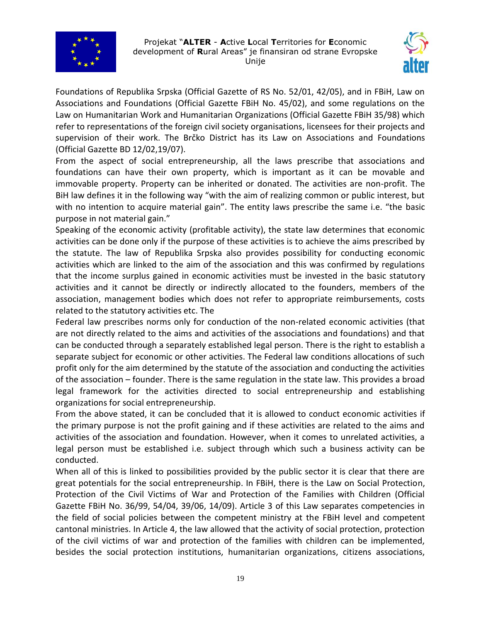



Foundations of Republika Srpska (Official Gazette of RS No. 52/01, 42/05), and in FBiH, Law on Associations and Foundations (Official Gazette FBiH No. 45/02), and some regulations on the Law on Humanitarian Work and Humanitarian Organizations (Official Gazette FBiH 35/98) which refer to representations of the foreign civil society organisations, licensees for their projects and supervision of their work. The Brčko District has its Law on Associations and Foundations (Official Gazette BD 12/02,19/07).

From the aspect of social entrepreneurship, all the laws prescribe that associations and foundations can have their own property, which is important as it can be movable and immovable property. Property can be inherited or donated. The activities are non-profit. The BiH law defines it in the following way "with the aim of realizing common or public interest, but with no intention to acquire material gain". The entity laws prescribe the same i.e. "the basic purpose in not material gain."

Speaking of the economic activity (profitable activity), the state law determines that economic activities can be done only if the purpose of these activities is to achieve the aims prescribed by the statute. The law of Republika Srpska also provides possibility for conducting economic activities which are linked to the aim of the association and this was confirmed by regulations that the income surplus gained in economic activities must be invested in the basic statutory activities and it cannot be directly or indirectly allocated to the founders, members of the association, management bodies which does not refer to appropriate reimbursements, costs related to the statutory activities etc. The

Federal law prescribes norms only for conduction of the non-related economic activities (that are not directly related to the aims and activities of the associations and foundations) and that can be conducted through a separately established legal person. There is the right to establish a separate subject for economic or other activities. The Federal law conditions allocations of such profit only for the aim determined by the statute of the association and conducting the activities of the association – founder. There is the same regulation in the state law. This provides a broad legal framework for the activities directed to social entrepreneurship and establishing organizations for social entrepreneurship.

From the above stated, it can be concluded that it is allowed to conduct economic activities if the primary purpose is not the profit gaining and if these activities are related to the aims and activities of the association and foundation. However, when it comes to unrelated activities, a legal person must be established i.e. subject through which such a business activity can be conducted.

When all of this is linked to possibilities provided by the public sector it is clear that there are great potentials for the social entrepreneurship. In FBiH, there is the Law on Social Protection, Protection of the Civil Victims of War and Protection of the Families with Children (Official Gazette FBiH No. 36/99, 54/04, 39/06, 14/09). Article 3 of this Law separates competencies in the field of social policies between the competent ministry at the FBiH level and competent cantonal ministries. In Article 4, the law allowed that the activity of social protection, protection of the civil victims of war and protection of the families with children can be implemented, besides the social protection institutions, humanitarian organizations, citizens associations,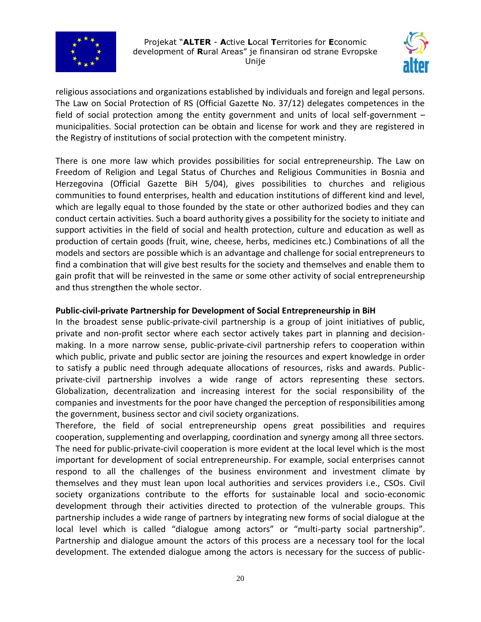



religious associations and organizations established by individuals and foreign and legal persons. The Law on Social Protection of RS (Official Gazette No. 37/12) delegates competences in the field of social protection among the entity government and units of local self-government – municipalities. Social protection can be obtain and license for work and they are registered in the Registry of institutions of social protection with the competent ministry.

There is one more law which provides possibilities for social entrepreneurship. The Law on Freedom of Religion and Legal Status of Churches and Religious Communities in Bosnia and Herzegovina (Official Gazette BiH 5/04), gives possibilities to churches and religious communities to found enterprises, health and education institutions of different kind and level, which are legally equal to those founded by the state or other authorized bodies and they can conduct certain activities. Such a board authority gives a possibility for the society to initiate and support activities in the field of social and health protection, culture and education as well as production of certain goods (fruit, wine, cheese, herbs, medicines etc.) Combinations of all the models and sectors are possible which is an advantage and challenge for social entrepreneurs to find a combination that will give best results for the society and themselves and enable them to gain profit that will be reinvested in the same or some other activity of social entrepreneurship and thus strengthen the whole sector.

## **Public-civil-private Partnership for Development of Social Entrepreneurship in BiH**

In the broadest sense public-private-civil partnership is a group of joint initiatives of public, private and non-profit sector where each sector actively takes part in planning and decisionmaking. In a more narrow sense, public-private-civil partnership refers to cooperation within which public, private and public sector are joining the resources and expert knowledge in order to satisfy a public need through adequate allocations of resources, risks and awards. Publicprivate-civil partnership involves a wide range of actors representing these sectors. Globalization, decentralization and increasing interest for the social responsibility of the companies and investments for the poor have changed the perception of responsibilities among the government, business sector and civil society organizations.

Therefore, the field of social entrepreneurship opens great possibilities and requires cooperation, supplementing and overlapping, coordination and synergy among all three sectors. The need for public-private-civil cooperation is more evident at the local level which is the most important for development of social entrepreneurship. For example, social enterprises cannot respond to all the challenges of the business environment and investment climate by themselves and they must lean upon local authorities and services providers i.e., CSOs. Civil society organizations contribute to the efforts for sustainable local and socio-economic development through their activities directed to protection of the vulnerable groups. This partnership includes a wide range of partners by integrating new forms of social dialogue at the local level which is called "dialogue among actors" or "multi-party social partnership". Partnership and dialogue amount the actors of this process are a necessary tool for the local development. The extended dialogue among the actors is necessary for the success of public-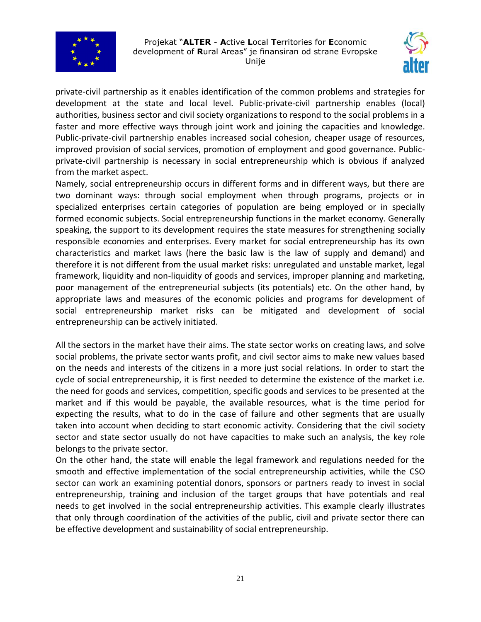



private-civil partnership as it enables identification of the common problems and strategies for development at the state and local level. Public-private-civil partnership enables (local) authorities, business sector and civil society organizations to respond to the social problems in a faster and more effective ways through joint work and joining the capacities and knowledge. Public-private-civil partnership enables increased social cohesion, cheaper usage of resources, improved provision of social services, promotion of employment and good governance. Publicprivate-civil partnership is necessary in social entrepreneurship which is obvious if analyzed from the market aspect.

Namely, social entrepreneurship occurs in different forms and in different ways, but there are two dominant ways: through social employment when through programs, projects or in specialized enterprises certain categories of population are being employed or in specially formed economic subjects. Social entrepreneurship functions in the market economy. Generally speaking, the support to its development requires the state measures for strengthening socially responsible economies and enterprises. Every market for social entrepreneurship has its own characteristics and market laws (here the basic law is the law of supply and demand) and therefore it is not different from the usual market risks: unregulated and unstable market, legal framework, liquidity and non-liquidity of goods and services, improper planning and marketing, poor management of the entrepreneurial subjects (its potentials) etc. On the other hand, by appropriate laws and measures of the economic policies and programs for development of social entrepreneurship market risks can be mitigated and development of social entrepreneurship can be actively initiated.

All the sectors in the market have their aims. The state sector works on creating laws, and solve social problems, the private sector wants profit, and civil sector aims to make new values based on the needs and interests of the citizens in a more just social relations. In order to start the cycle of social entrepreneurship, it is first needed to determine the existence of the market i.e. the need for goods and services, competition, specific goods and services to be presented at the market and if this would be payable, the available resources, what is the time period for expecting the results, what to do in the case of failure and other segments that are usually taken into account when deciding to start economic activity. Considering that the civil society sector and state sector usually do not have capacities to make such an analysis, the key role belongs to the private sector.

On the other hand, the state will enable the legal framework and regulations needed for the smooth and effective implementation of the social entrepreneurship activities, while the CSO sector can work an examining potential donors, sponsors or partners ready to invest in social entrepreneurship, training and inclusion of the target groups that have potentials and real needs to get involved in the social entrepreneurship activities. This example clearly illustrates that only through coordination of the activities of the public, civil and private sector there can be effective development and sustainability of social entrepreneurship.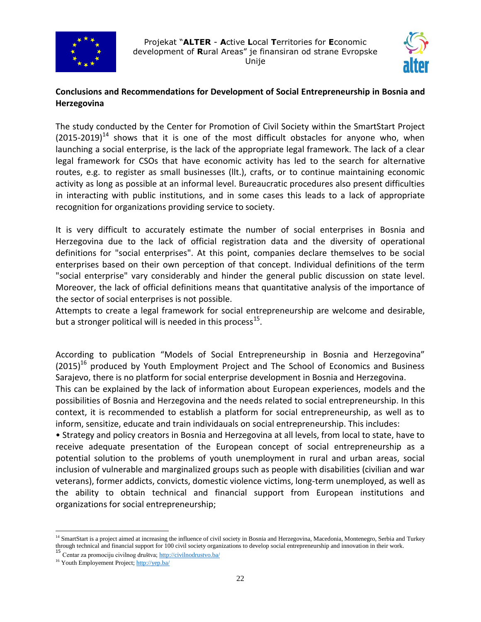



# **Conclusions and Recommendations for Development of Social Entrepreneurship in Bosnia and Herzegovina**

The study conducted by the Center for Promotion of Civil Society within the SmartStart Project  $(2015-2019)^{14}$  shows that it is one of the most difficult obstacles for anyone who, when launching a social enterprise, is the lack of the appropriate legal framework. The lack of a clear legal framework for CSOs that have economic activity has led to the search for alternative routes, e.g. to register as small businesses (llt.), crafts, or to continue maintaining economic activity as long as possible at an informal level. Bureaucratic procedures also present difficulties in interacting with public institutions, and in some cases this leads to a lack of appropriate recognition for organizations providing service to society.

It is very difficult to accurately estimate the number of social enterprises in Bosnia and Herzegovina due to the lack of official registration data and the diversity of operational definitions for "social enterprises". At this point, companies declare themselves to be social enterprises based on their own perception of that concept. Individual definitions of the term "social enterprise" vary considerably and hinder the general public discussion on state level. Moreover, the lack of official definitions means that quantitative analysis of the importance of the sector of social enterprises is not possible.

Attempts to create a legal framework for social entrepreneurship are welcome and desirable, but a stronger political will is needed in this process<sup>15</sup>.

According to publication "Models of Social Entrepreneurship in Bosnia and Herzegovina"  $(2015)^{16}$  produced by Youth Employment Project and The School of Economics and Business Sarajevo, there is no platform for social enterprise development in Bosnia and Herzegovina.

This can be explained by the lack of information about European experiences, models and the possibilities of Bosnia and Herzegovina and the needs related to social entrepreneurship. In this context, it is recommended to establish a platform for social entrepreneurship, as well as to inform, sensitize, educate and train individauals on social entrepreneurship. This includes:

• Strategy and policy creators in Bosnia and Herzegovina at all levels, from local to state, have to receive adequate presentation of the European concept of social entrepreneurship as a potential solution to the problems of youth unemployment in rural and urban areas, social inclusion of vulnerable and marginalized groups such as people with disabilities (civilian and war veterans), former addicts, convicts, domestic violence victims, long-term unemployed, as well as the ability to obtain technical and financial support from European institutions and organizations for social entrepreneurship;

 $\overline{a}$ 

<sup>&</sup>lt;sup>14</sup> SmartStart is a project aimed at increasing the influence of civil society in Bosnia and Herzegovina, Macedonia, Montenegro, Serbia and Turkey through technical and financial support for 100 civil society organizations to develop social entrepreneurship and innovation in their work.<br><sup>15</sup> Centar za promociju civilnog društva;<http://civilnodrustvo.ba/>

<sup>&</sup>lt;sup>16</sup> Youth Employement Project[; http://yep.ba/](http://yep.ba/)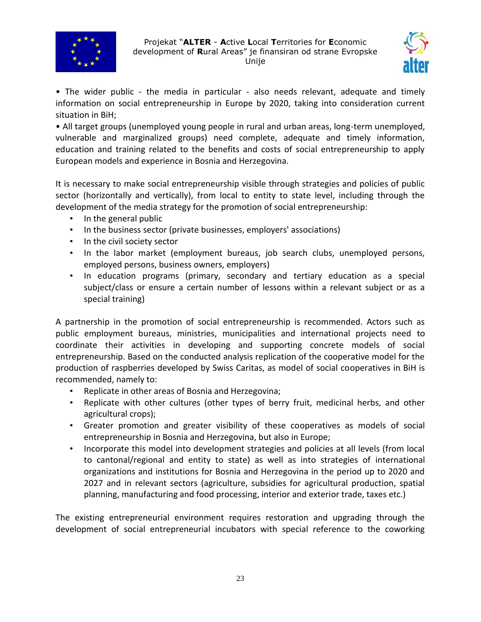



• The wider public - the media in particular - also needs relevant, adequate and timely information on social entrepreneurship in Europe by 2020, taking into consideration current situation in BiH;

• All target groups (unemployed young people in rural and urban areas, long-term unemployed, vulnerable and marginalized groups) need complete, adequate and timely information, education and training related to the benefits and costs of social entrepreneurship to apply European models and experience in Bosnia and Herzegovina.

It is necessary to make social entrepreneurship visible through strategies and policies of public sector (horizontally and vertically), from local to entity to state level, including through the development of the media strategy for the promotion of social entrepreneurship:

- In the general public
- In the business sector (private businesses, employers' associations)
- In the civil society sector
- In the labor market (employment bureaus, job search clubs, unemployed persons, employed persons, business owners, employers)
- In education programs (primary, secondary and tertiary education as a special subject/class or ensure a certain number of lessons within a relevant subject or as a special training)

A partnership in the promotion of social entrepreneurship is recommended. Actors such as public employment bureaus, ministries, municipalities and international projects need to coordinate their activities in developing and supporting concrete models of social entrepreneurship. Based on the conducted analysis replication of the cooperative model for the production of raspberries developed by Swiss Caritas, as model of social cooperatives in BiH is recommended, namely to:

- Replicate in other areas of Bosnia and Herzegovina;
- Replicate with other cultures (other types of berry fruit, medicinal herbs, and other agricultural crops);
- Greater promotion and greater visibility of these cooperatives as models of social entrepreneurship in Bosnia and Herzegovina, but also in Europe;
- Incorporate this model into development strategies and policies at all levels (from local to cantonal/regional and entity to state) as well as into strategies of international organizations and institutions for Bosnia and Herzegovina in the period up to 2020 and 2027 and in relevant sectors (agriculture, subsidies for agricultural production, spatial planning, manufacturing and food processing, interior and exterior trade, taxes etc.)

The existing entrepreneurial environment requires restoration and upgrading through the development of social entrepreneurial incubators with special reference to the coworking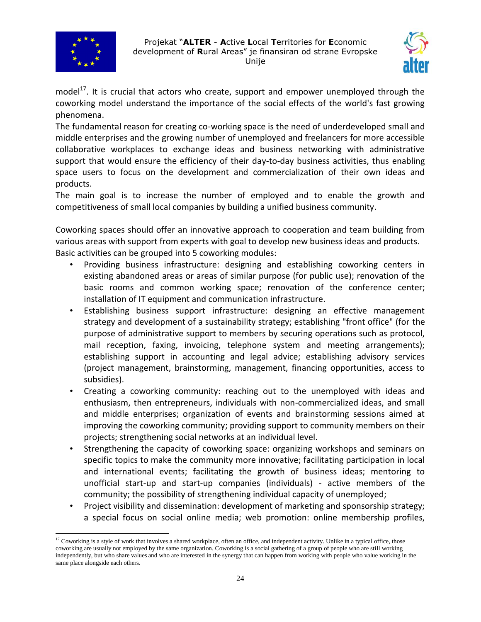



model<sup>17</sup>. It is crucial that actors who create, support and empower unemployed through the coworking model understand the importance of the social effects of the world's fast growing phenomena.

The fundamental reason for creating co-working space is the need of underdeveloped small and middle enterprises and the growing number of unemployed and freelancers for more accessible collaborative workplaces to exchange ideas and business networking with administrative support that would ensure the efficiency of their day-to-day business activities, thus enabling space users to focus on the development and commercialization of their own ideas and products.

The main goal is to increase the number of employed and to enable the growth and competitiveness of small local companies by building a unified business community.

Coworking spaces should offer an innovative approach to cooperation and team building from various areas with support from experts with goal to develop new business ideas and products. Basic activities can be grouped into 5 coworking modules:

- Providing business infrastructure: designing and establishing coworking centers in existing abandoned areas or areas of similar purpose (for public use); renovation of the basic rooms and common working space; renovation of the conference center; installation of IT equipment and communication infrastructure.
- Establishing business support infrastructure: designing an effective management strategy and development of a sustainability strategy; establishing "front office" (for the purpose of administrative support to members by securing operations such as protocol, mail reception, faxing, invoicing, telephone system and meeting arrangements); establishing support in accounting and legal advice; establishing advisory services (project management, brainstorming, management, financing opportunities, access to subsidies).
- Creating a coworking community: reaching out to the unemployed with ideas and enthusiasm, then entrepreneurs, individuals with non-commercialized ideas, and small and middle enterprises; organization of events and brainstorming sessions aimed at improving the coworking community; providing support to community members on their projects; strengthening social networks at an individual level.
- Strengthening the capacity of coworking space: organizing workshops and seminars on specific topics to make the community more innovative; facilitating participation in local and international events; facilitating the growth of business ideas; mentoring to unofficial start-up and start-up companies (individuals) - active members of the community; the possibility of strengthening individual capacity of unemployed;
- Project visibility and dissemination: development of marketing and sponsorship strategy; a special focus on social online media; web promotion: online membership profiles,

 $\overline{a}$ <sup>17</sup> Coworking is a style o[f work](https://en.wikipedia.org/wiki/Employment) that involves a share[d workplace,](https://en.wikipedia.org/wiki/Workplace) often an [office,](https://en.wikipedia.org/wiki/Office) and independent activity. Unlike in a typical office, those coworking are usually not employed by the same organization. Coworking is a social gathering of a group of people who are still working independently, but who share values and who are interested in the synergy that can happen from working with people who value working in the same place alongside each others.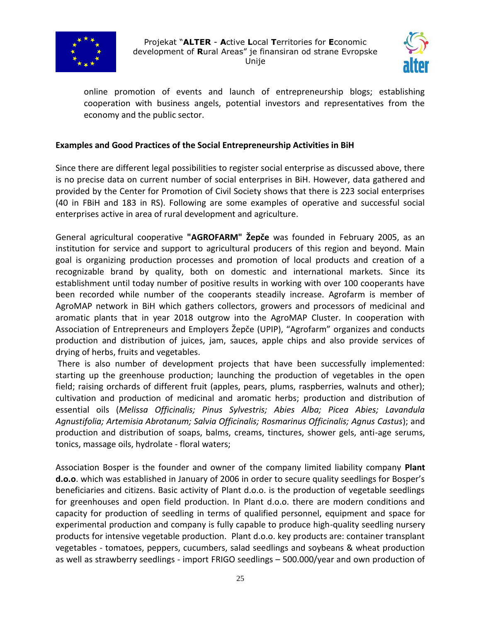



online promotion of events and launch of entrepreneurship blogs; establishing cooperation with business angels, potential investors and representatives from the economy and the public sector.

## **Examples and Good Practices of the Social Entrepreneurship Activities in BiH**

Since there are different legal possibilities to register social enterprise as discussed above, there is no precise data on current number of social enterprises in BiH. However, data gathered and provided by the Center for Promotion of Civil Society shows that there is 223 social enterprises (40 in FBiH and 183 in RS). Following are some examples of operative and successful social enterprises active in area of rural development and agriculture.

General agricultural cooperative **"AGROFARM" Žepče** was founded in February 2005, as an institution for service and support to agricultural producers of this region and beyond. Main goal is organizing production processes and promotion of local products and creation of a recognizable brand by quality, both on domestic and international markets. Since its establishment until today number of positive results in working with over 100 cooperants have been recorded while number of the cooperants steadily increase. Agrofarm is member of AgroMAP network in BiH which gathers collectors, growers and processors of medicinal and aromatic plants that in year 2018 outgrow into the AgroMAP Cluster. In cooperation with Association of Entrepreneurs and Employers Žepče (UPIP), "Agrofarm" organizes and conducts production and distribution of juices, jam, sauces, apple chips and also provide services of drying of herbs, fruits and vegetables.

There is also number of development projects that have been successfully implemented: starting up the greenhouse production; launching the production of vegetables in the open field; raising orchards of different fruit (apples, pears, plums, raspberries, walnuts and other); cultivation and production of medicinal and aromatic herbs; production and distribution of essential oils (*Melissa Officinalis; Pinus Sylvestris; Abies Alba; Picea Abies; Lavandula Agnustifolia; Artemisia Abrotanum; Salvia Officinalis; Rosmarinus Officinalis; Agnus Castus*); and production and distribution of soaps, balms, creams, tinctures, shower gels, anti-age serums, tonics, massage oils, hydrolate - floral waters;

Association Bosper is the founder and owner of the company limited liability company **Plant d.o.o**. which was established in January of 2006 in order to secure quality seedlings for Bosper's beneficiaries and citizens. Basic activity of Plant d.o.o. is the production of vegetable seedlings for greenhouses and open field production. In Plant d.o.o. there are modern conditions and capacity for production of seedling in terms of qualified personnel, equipment and space for experimental production and company is fully capable to produce high-quality seedling nursery products for intensive vegetable production. Plant d.o.o. key products are: container transplant vegetables - tomatoes, peppers, cucumbers, salad seedlings and soybeans & wheat production as well as strawberry seedlings - import FRIGO seedlings – 500.000/year and own production of